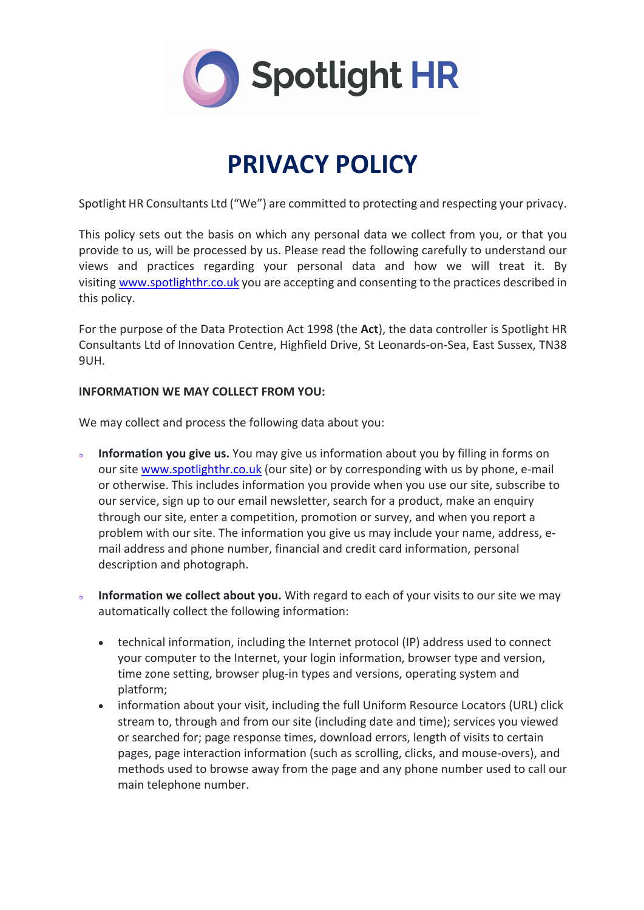

# **PRIVACY POLICY**

Spotlight HR Consultants Ltd ("We") are committed to protecting and respecting your privacy.

This policy sets out the basis on which any personal data we collect from you, or that you provide to us, will be processed by us. Please read the following carefully to understand our views and practices regarding your personal data and how we will treat it. By visiting www.spotlighthr.co.uk you are accepting and consenting to the practices described in this policy.

For the purpose of the Data Protection Act 1998 (the **Act**), the data controller is Spotlight HR Consultants Ltd of Innovation Centre, Highfield Drive, St Leonards-on-Sea, East Sussex, TN38 9UH.

### **INFORMATION WE MAY COLLECT FROM YOU:**

We may collect and process the following data about you:

- **Information you give us.** You may give us information about you by filling in forms on our site www.spotlighthr.co.uk (our site) or by corresponding with us by phone, e-mail or otherwise. This includes information you provide when you use our site, subscribe to our service, sign up to our email newsletter, search for a product, make an enquiry through our site, enter a competition, promotion or survey, and when you report a problem with our site. The information you give us may include your name, address, email address and phone number, financial and credit card information, personal description and photograph.
- **Information we collect about you.** With regard to each of your visits to our site we may  $\bullet$ automatically collect the following information:
	- technical information, including the Internet protocol (IP) address used to connect your computer to the Internet, your login information, browser type and version, time zone setting, browser plug-in types and versions, operating system and platform;
	- information about your visit, including the full Uniform Resource Locators (URL) click stream to, through and from our site (including date and time); services you viewed or searched for; page response times, download errors, length of visits to certain pages, page interaction information (such as scrolling, clicks, and mouse-overs), and methods used to browse away from the page and any phone number used to call our main telephone number.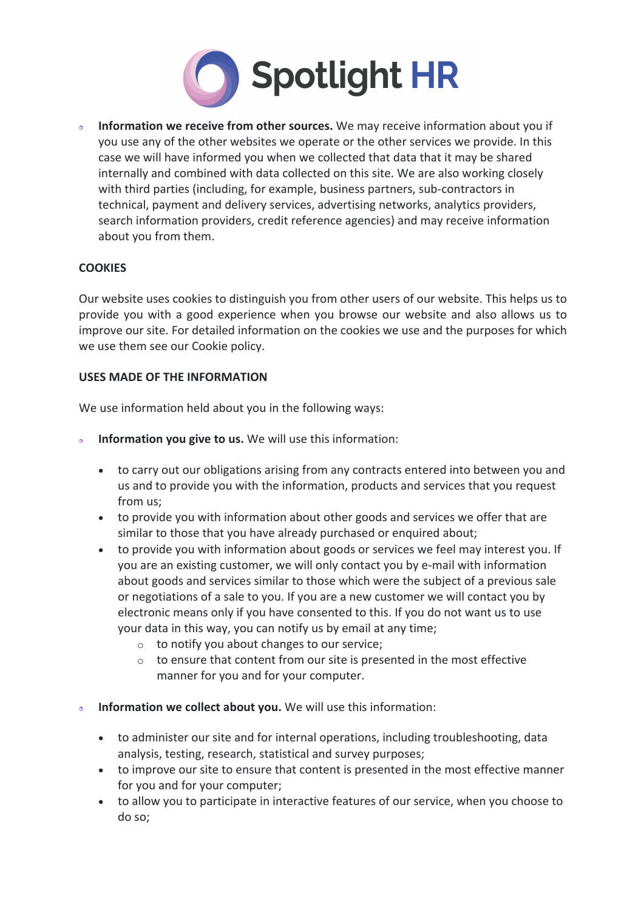

**Information we receive from other sources.** We may receive information about you if  $\ddot{\phantom{0}}$ you use any of the other websites we operate or the other services we provide. In this case we will have informed you when we collected that data that it may be shared internally and combined with data collected on this site. We are also working closely with third parties (including, for example, business partners, sub-contractors in technical, payment and delivery services, advertising networks, analytics providers, search information providers, credit reference agencies) and may receive information about you from them.

# **COOKIES**

Our website uses cookies to distinguish you from other users of our website. This helps us to provide you with a good experience when you browse our website and also allows us to improve our site. For detailed information on the cookies we use and the purposes for which we use them see our Cookie policy.

### **USES MADE OF THE INFORMATION**

We use information held about you in the following ways:

- **Information you give to us.** We will use this information:  $\sigma$ 
	- to carry out our obligations arising from any contracts entered into between you and us and to provide you with the information, products and services that you request from us;
	- to provide you with information about other goods and services we offer that are similar to those that you have already purchased or enquired about;
	- to provide you with information about goods or services we feel may interest you. If you are an existing customer, we will only contact you by e-mail with information about goods and services similar to those which were the subject of a previous sale or negotiations of a sale to you. If you are a new customer we will contact you by electronic means only if you have consented to this. If you do not want us to use your data in this way, you can notify us by email at any time;
		- o to notify you about changes to our service;
		- o to ensure that content from our site is presented in the most effective manner for you and for your computer.
- **Information we collect about you.** We will use this information:  $\ddot{\bullet}$ 
	- to administer our site and for internal operations, including troubleshooting, data analysis, testing, research, statistical and survey purposes;
	- to improve our site to ensure that content is presented in the most effective manner for you and for your computer;
	- to allow you to participate in interactive features of our service, when you choose to do so;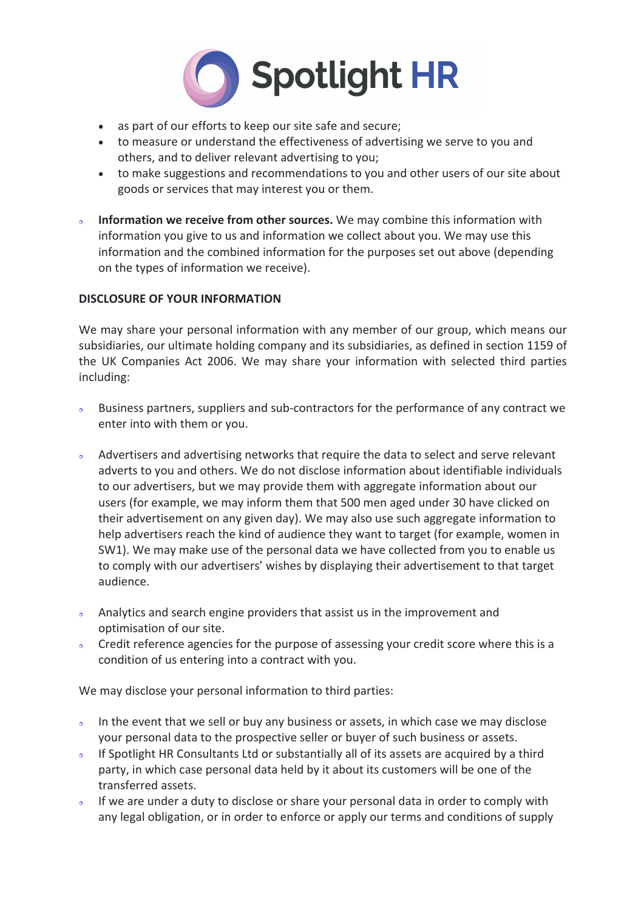

- as part of our efforts to keep our site safe and secure;
- to measure or understand the effectiveness of advertising we serve to you and others, and to deliver relevant advertising to you;
- to make suggestions and recommendations to you and other users of our site about goods or services that may interest you or them.
- **Information we receive from other sources.** We may combine this information with  $\bullet$ information you give to us and information we collect about you. We may use this information and the combined information for the purposes set out above (depending on the types of information we receive).

# **DISCLOSURE OF YOUR INFORMATION**

We may share your personal information with any member of our group, which means our subsidiaries, our ultimate holding company and its subsidiaries, as defined in section 1159 of the UK Companies Act 2006. We may share your information with selected third parties including:

- Business partners, suppliers and sub-contractors for the performance of any contract we  $\bullet$ enter into with them or you.
- Advertisers and advertising networks that require the data to select and serve relevant adverts to you and others. We do not disclose information about identifiable individuals to our advertisers, but we may provide them with aggregate information about our users (for example, we may inform them that 500 men aged under 30 have clicked on their advertisement on any given day). We may also use such aggregate information to help advertisers reach the kind of audience they want to target (for example, women in SW1). We may make use of the personal data we have collected from you to enable us to comply with our advertisers' wishes by displaying their advertisement to that target audience.
- Analytics and search engine providers that assist us in the improvement and optimisation of our site.
- o Credit reference agencies for the purpose of assessing your credit score where this is a condition of us entering into a contract with you.

We may disclose your personal information to third parties:

- In the event that we sell or buy any business or assets, in which case we may disclose your personal data to the prospective seller or buyer of such business or assets.
- o If Spotlight HR Consultants Ltd or substantially all of its assets are acquired by a third party, in which case personal data held by it about its customers will be one of the transferred assets.
- If we are under a duty to disclose or share your personal data in order to comply with any legal obligation, or in order to enforce or apply our terms and conditions of supply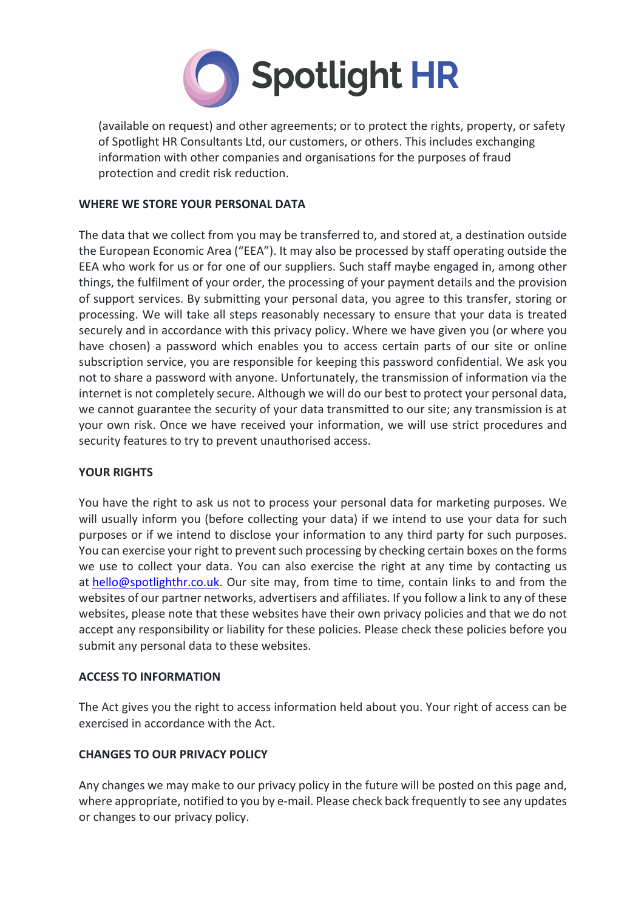

(available on request) and other agreements; or to protect the rights, property, or safety of Spotlight HR Consultants Ltd, our customers, or others. This includes exchanging information with other companies and organisations for the purposes of fraud protection and credit risk reduction.

## **WHERE WE STORE YOUR PERSONAL DATA**

The data that we collect from you may be transferred to, and stored at, a destination outside the European Economic Area ("EEA"). It may also be processed by staff operating outside the EEA who work for us or for one of our suppliers. Such staff maybe engaged in, among other things, the fulfilment of your order, the processing of your payment details and the provision of support services. By submitting your personal data, you agree to this transfer, storing or processing. We will take all steps reasonably necessary to ensure that your data is treated securely and in accordance with this privacy policy. Where we have given you (or where you have chosen) a password which enables you to access certain parts of our site or online subscription service, you are responsible for keeping this password confidential. We ask you not to share a password with anyone. Unfortunately, the transmission of information via the internet is not completely secure. Although we will do our best to protect your personal data, we cannot guarantee the security of your data transmitted to our site; any transmission is at your own risk. Once we have received your information, we will use strict procedures and security features to try to prevent unauthorised access.

#### **YOUR RIGHTS**

You have the right to ask us not to process your personal data for marketing purposes. We will usually inform you (before collecting your data) if we intend to use your data for such purposes or if we intend to disclose your information to any third party for such purposes. You can exercise your right to prevent such processing by checking certain boxes on the forms we use to collect your data. You can also exercise the right at any time by contacting us at hello@spotlighthr.co.uk. Our site may, from time to time, contain links to and from the websites of our partner networks, advertisers and affiliates. If you follow a link to any of these websites, please note that these websites have their own privacy policies and that we do not accept any responsibility or liability for these policies. Please check these policies before you submit any personal data to these websites.

#### **ACCESS TO INFORMATION**

The Act gives you the right to access information held about you. Your right of access can be exercised in accordance with the Act.

# **CHANGES TO OUR PRIVACY POLICY**

Any changes we may make to our privacy policy in the future will be posted on this page and, where appropriate, notified to you by e-mail. Please check back frequently to see any updates or changes to our privacy policy.